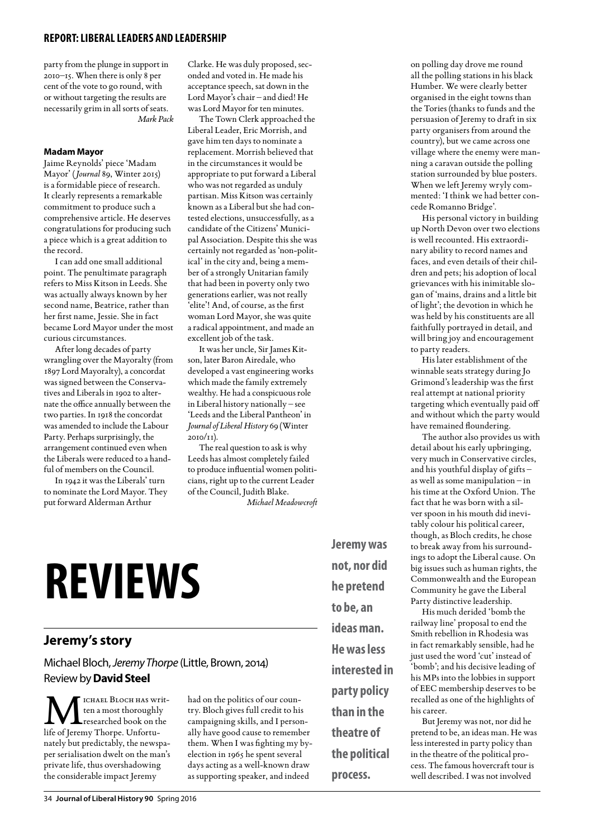#### **report: Liberalleaders and leadership**

party from the plunge in support in 2010–15. When there is only 8 per cent of the vote to go round, with or without targeting the results are necessarily grim in all sorts of seats. *Mark Pack*

#### **Madam Mayor**

Jaime Reynolds' piece 'Madam Mayor' (*Journal* 89, Winter 2015) is a formidable piece of research. It clearly represents a remarkable commitment to produce such a comprehensive article. He deserves congratulations for producing such a piece which is a great addition to the record.

I can add one small additional point. The penultimate paragraph refers to Miss Kitson in Leeds. She was actually always known by her second name, Beatrice, rather than her first name, Jessie. She in fact became Lord Mayor under the most curious circumstances.

After long decades of party wrangling over the Mayoralty (from 1897 Lord Mayoralty), a concordat was signed between the Conservatives and Liberals in 1902 to alternate the office annually between the two parties. In 1918 the concordat was amended to include the Labour Party. Perhaps surprisingly, the arrangement continued even when the Liberals were reduced to a handful of members on the Council.

In 1942 it was the Liberals' turn to nominate the Lord Mayor. They put forward Alderman Arthur

Clarke. He was duly proposed, seconded and voted in. He made his acceptance speech, sat down in the Lord Mayor's chair – and died! He was Lord Mayor for ten minutes.

The Town Clerk approached the Liberal Leader, Eric Morrish, and gave him ten days to nominate a replacement. Morrish believed that in the circumstances it would be appropriate to put forward a Liberal who was not regarded as unduly partisan. Miss Kitson was certainly known as a Liberal but she had contested elections, unsuccessfully, as a candidate of the Citizens' Municipal Association. Despite this she was certainly not regarded as 'non-political' in the city and, being a member of a strongly Unitarian family that had been in poverty only two generations earlier, was not really 'elite'! And, of course, as the first woman Lord Mayor, she was quite a radical appointment, and made an excellent job of the task.

It was her uncle, Sir James Kitson, later Baron Airedale, who developed a vast engineering works which made the family extremely wealthy. He had a conspicuous role in Liberal history nationally – see 'Leeds and the Liberal Pantheon' in *Journal of Liberal History* 69 (Winter 2010/11).

The real question to ask is why Leeds has almost completely failed to produce influential women politicians, right up to the current Leader of the Council, Judith Blake. *Michael Meadowcroft*

# **Reviews**

#### **Jeremy's story**

Michael Bloch, *Jeremy Thorpe* (Little, Brown, 2014) Review by **David Steel**

ICHAEL BLOCH HAS Written a most thoroughly researched book on the life of Jeremy Thorpe. Unfortunately but predictably, the newspaper serialisation dwelt on the man's private life, thus overshadowing the considerable impact Jeremy

had on the politics of our country. Bloch gives full credit to his campaigning skills, and I personally have good cause to remember them. When I was fighting my byelection in 1965 he spent several days acting as a well-known draw as supporting speaker, and indeed

**Jeremy was not, nor did he pretend to be, an ideas man. He was less interested in party policy than in the theatre of the political** 

**process.**

on polling day drove me round all the polling stations in his black Humber. We were clearly better organised in the eight towns than the Tories (thanks to funds and the persuasion of Jeremy to draft in six party organisers from around the country), but we came across one village where the enemy were manning a caravan outside the polling station surrounded by blue posters. When we left Jeremy wryly commented: 'I think we had better concede Romanno Bridge'.

His personal victory in building up North Devon over two elections is well recounted. His extraordinary ability to record names and faces, and even details of their children and pets; his adoption of local grievances with his inimitable slogan of 'mains, drains and a little bit of light'; the devotion in which he was held by his constituents are all faithfully portrayed in detail, and will bring joy and encouragement to party readers.

His later establishment of the winnable seats strategy during Jo Grimond's leadership was the first real attempt at national priority targeting which eventually paid off and without which the party would have remained floundering.

The author also provides us with detail about his early upbringing, very much in Conservative circles, and his youthful display of gifts – as well as some manipulation – in his time at the Oxford Union. The fact that he was born with a silver spoon in his mouth did inevitably colour his political career, though, as Bloch credits, he chose to break away from his surroundings to adopt the Liberal cause. On big issues such as human rights, the Commonwealth and the European Community he gave the Liberal Party distinctive leadership.

His much derided 'bomb the railway line' proposal to end the Smith rebellion in Rhodesia was in fact remarkably sensible, had he just used the word 'cut' instead of 'bomb'; and his decisive leading of his MPs into the lobbies in support of EEC membership deserves to be recalled as one of the highlights of his career.

But Jeremy was not, nor did he pretend to be, an ideas man. He was less interested in party policy than in the theatre of the political process. The famous hovercraft tour is well described. I was not involved